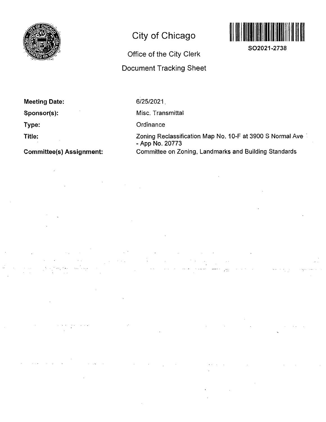

# City of Chicago

# Office of the City Clerk

# Docunnent Tracking Sheet



SO2021-2738

| <b>Meeting Date:</b> |  |
|----------------------|--|
|                      |  |

Sponsor(s):

Type:

Title:

Committee(s) Assignment:

6/25/2021.

Misc. Transmittal

 $\mathcal{L}(\mathcal{A})$  and  $\mathcal{L}(\mathcal{A})$  and  $\mathcal{L}(\mathcal{A})$ 

**Ordinance** 

Zoning Reclassification Map No. 10-F at 3900 S Normal Ave - App No. 20773 Committee on Zoning, Landmarks and Building Standards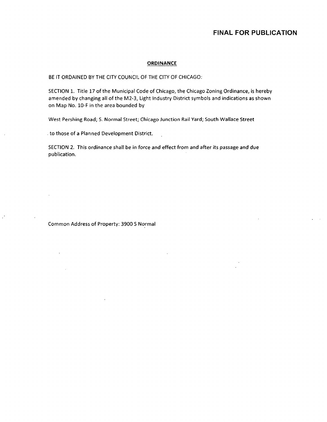#### **ORDINANCE**

BE IT ORDAINED BY THE CITY COUNCIL OF THE CITY OF CHICAGO:

SECTION 1. Title 17 of the Municipal Code of Chicago, the Chicago Zoning Ordinance, is hereby amended by changing all of the M2-3, Light Industry District symbols and indications as shown on Map No. 10-F in the area bounded by

West Pershing Road; S. Normal Street; Chicago Junction Rail Yard; South Wallace Street

. to those of a Planned Development District. 

SECTION 2. This ordinance shall be in force and effect from and after its passage and due publication.

Common Address of Property: 3900 S Normal

 $\mathcal{L}$ 

 $\mathcal{L}$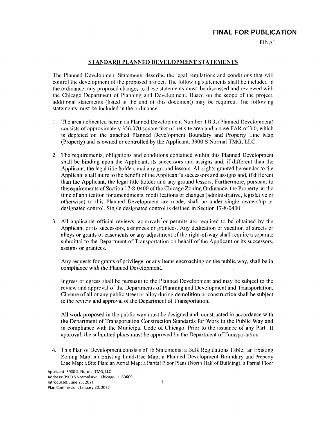FINAL

#### STANDARD PLANNED DEVELOPMENT STATEMENTS

Thc Planned Development Statements describe thc legal regulations and conditions that vvill control the development of the proposed project. The following statements shall be included in the ordinance; any proposed changes to these statements must be discussed and reviewed vvith thc Chicago Department of Planning and Development. Based on the scope of the project, additional statements (listed at the end of this document) may be required. The following statements must be included in the ordinance:

- 1. The area delineated herein as Planned Development Number TBD, (Planned Development) consists of approximately 356,370 square feet of net site area and a base FAR of 3.0, vvhich is depicted on the attached Planned Development Boundary and Property Line Map (Property) and is owned or controlled by the Applicant, 3900 S Normal TMG, LLC.
- 2. The requirements, obligations and conditions contained within this Planned Development shall bc binding upon the Applicant, its successors and assigns and, if different than the Applicant, the legal title holders and any ground lessors. All rights granted hereunder to the Applicant shall inure to the benefit of the Applicant's successors and assigns and, if different than the Applicant, the legal title holder and any ground lessors. Furthermore, pursuant to therequirements of Section 17-8-0400 of the Chicago Zoning Ordinance, the Property, at the time of application for amendments, modifications or changes (administrative, legislative or otherwise) to this Planned Development are made, shall be under single ovvnership or designated control. Single designated control is delined in Section 17-8-0400.
- 3. All applicable official reviews, approvals or permits are required to be obtained by the Applicant or its successors, assignees or grantees. Any dedication or vacation of streets or alleys or grants of easements or any adjustment of the right-of-way shall require a separate submittal to the Department of Transportation on behalf of the Applicant or its successors, assigns or grantees.

Any requests for grants of privilege, or any items encroaching on the public way, shall be in compliance with the Planned Development.

Ingress or egress shall be pursuant to the Planned Development and may be subject to thc review and approval of the Departments of Planning and Development and Transportation. Closure ofall or any public street or alley during demolition or construction shall be subject to the review and approval of the Department of Transportation.

All work proposed in the public way must be designed and constructed in accordance with the Department of Transportation Construction Standards for Work in thc Public Way and in compliance with the Municipal Code of Chicago. Prior to the issuance of any Part II approval, the submitted plans musl be approved by the Department of Transportation.

4. This Plan of Development consists of 16 Statements: a Bulk Regulations Table; an Existing Zoning Map; an Existing Land-Use Map; a Planned Development Boundary and Property Line Map; a Site Plan; an Aerial Map; a Partial Floor Plans (North Half of Building); a Partial Floor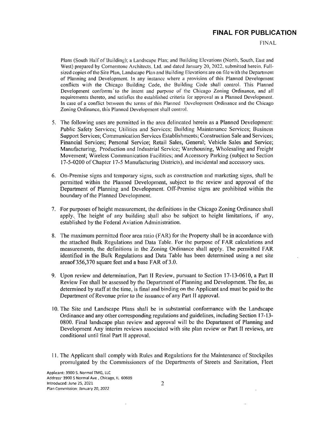FINAL

Plans (South Half of Building); a Landscape Plan; and Building Elevations (North, South, East and West) prepared by Cornerstone Architects, Ltd. and dated January 20, 2022, submitted herein. Fulisized copies of the Site Plan, Landscape Plan and Building Elevations are on file with the Department of Planning and Development. In any instance where a provision of this Planned Development conflicts with the Chicago Building Code, the Building Code shall control. This Planned Development conforms to the intent and purpose of the Chicago Zoning Ordinance, and all requirements thereto, and satisfies the established criteria Ibr approval as a Planned Development. In case of a conflict between the terms of this Planned Development Ordinance and the Chicago Zoning Ordinance, this Planned Development shall control.

- 5. The following uses are permitted in the area delineated herein as a Planned Development: Public Safety Services; Utilities and Services; Building Maintenance Services; Business Support Services; Communication Services Establishments; Construction Sale and Services; Financial Services; Personal Service; Retail Sales, General; Vehicle Sales and Service; Manufacturing, Production and Industrial Service; Warehousing, Wholesaling and Freight Movement; Wireless Communication Facilities; and Accessory Parking (subject to Section 17-5-0200 of Chapter 17-5 Manufacturing Districts), and incidental and accessory uses.
- 6. On-Premise signs and temporary signs, such as construction and marketing signs, shall be permitted within the Planned Development, subject to the review and approval of the Department of Planning and Development. Off-Premise signs are prohibited within the boundary of the Planned Development.
- 7. For purposes of height measurement, the definitions in the Chicago Zoning Ordinance shall apply. The height of any building shall also be subject to height limitations, if any, established by the Federal Aviation Administration.
- 8. The maximum permitted floor area ratio (FAR) for the Property shall be in accordance vvith the attached Bulk Regulations and Data Table. For the purpose of FAR calculations and measurements, the definitions in the Zoning Ordinance shall apply. The permitted FAR identified in the Bulk Regulations and Data Table has been determined using a net site areaof 356,370 square feet and a base FAR of 3.0.
- 9. Upon review and determination. Part II Review, pursuant to Section 17-13-0610, a Part IT Review Fee shall be assessed by the Department of Planning and Development. The fee, as determined by staff at the time, is final and binding on the Applicant and must be paid to the Department of Revenue prior to the issuance of any Part II approval.
- 10. The Site and Landscape Plans shall be in substantial conformance with the Landscape Ordinance and any other corresponding regulations and guidelines, including Section 17-13- 0800. Final landscape plan review and approval will be the Department of Planning and Development Any interim reviews associated with site plan review or Part II reviews, are conditional until final Part II approval.
- 11. The Applicant shall comply with Rules and Regulations for the Maintenance of Stockpiles promulgated by the Commissioners of the Departments of Streets and Sanitation, Fleet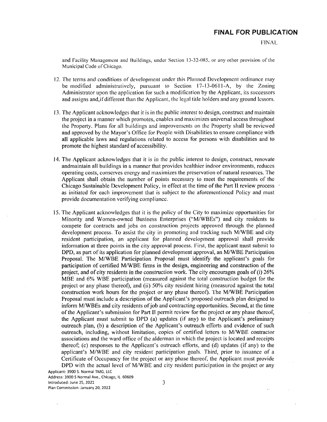FINAL

and Facility Management and Buildings, under Section 13-32-085, or any olher provision ofthe Municipal Code of Chicago.

- 12. The terms and conditions of development under this Planned Development ordinance may be modified administratively, pursuant to Section 17-13-0611-A, by the Zoning Administrator upon the application for such a modification by the Applicant, ils successors and assigns and,if different than the Applicant, the legal title holders and any ground lessors.
- 13. The Applicant acknowledges that it is in the public interest to design, construct and maintain the project in a manner which promotes, enables and maximizes universal access throughout the Property. Plans for all buildings and improvements on the Property shall be reviewed and approved by the Mayor's Office for People with Disabilities to ensure compliance with all applicable laws and regulations related to access for persons with disabilities and to promote the highest standard of accessibility.
- 14. The Applicant acknowledges lhat it is in the public inlerest to design, construct, renovate andmaintain all buildings in a manner that provides healthier indoor environments, reduces operating costs, conserves energy and maximizes the preservation of natural resources. The Applicant shall obtain the number of points necessary to meet the requirements of the Chicago Sustainable Development Policy, in effect at the time of the Part 11 review process as initiated for each improvement that is subject to the aforementioned Policy and must provide documentation verifying compliance.
- 15. The Applicant acknowledges that it is the policy of the City to maximize opportunities for Minority and Women-owned Business Enterprises ("M/WBEs") and city residents to compete for contracts and jobs on construction projects approved through the planned development process. To assist the city in promoting and tracking such M/WBE and city resident participation, an applicant for planned development approval shall provide infomiation at three points in the city approval process. First, the applicant must submit to DPD, as part of its application for planned development approval, an M/WBE Participation Proposal. The M/WBE Participation Proposal must identify the applicant's goals for participation of certified M/WBE firms in the design, engineering and construction of the project, and of city residents in the construction work. The city encourages goals of (i) 26% MBE and 6% WBE participation (measured against the total construction budget for the project or any phase thereof), and (ii) 50% city resident hiring (measured against the total construction work hours for the project or any phase thereof). The M/WBE Participation Proposal must include a description of the Applicant's proposed outreach plan designed to inform M/WBEs and city residents of job and contracting opportunities. Second, at the time of the Applicant's submission for Part II permit review for the project or any phase thereof, the Applicant must submit to DPD (a) updates (if any) to the Applicant's preliminary outreach plan, (b) a description of the Applicant's outreach efforts and evidence of such outreach, including, without limitation, copies of certified letters to M/WBE contractor associations and the ward office of the alderman in which the project is located and receipts thereof; (c) responses to the Applicant's outreach efforts, and (d) updates (if any) to the applicant's M/WBE and city resident participation goals. Third, prior lo issuance of a Certificate of Occupancy for the project or any phase thereof, the Applicant must provide DPD with the actual level of M/WBE and city resident participation in the project or any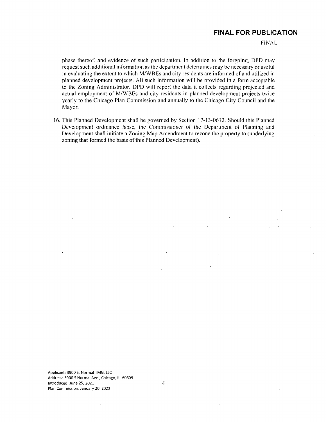FINAL

phase Ihereof, and evidence of such participation. In addition to the forgoing, DPD may request such additional information as the department determines may be necessary or useful in evaluating the extent to which M/WBEs and city residents are informed of and utilized in planned development projects. All such information will be provided in a form acceptable to the Zoning Administrator. DPD vvill report the data il collects regarding projected and actual employment of M/WBEs and city residents in planned development projects twice yearly to the Chicago Plan Commission and annually to thc Chicago City Council and the Mayor.

16. This Planned Development shall be governed by Section 17-13-0612. Should this Planned Development ordinance lapse, fhe Commissioner of the Department of Planning and Development shall initiate a Zoning Map Amendment to rezone the property to (underlying zoning that formed the basis of this Planned Development).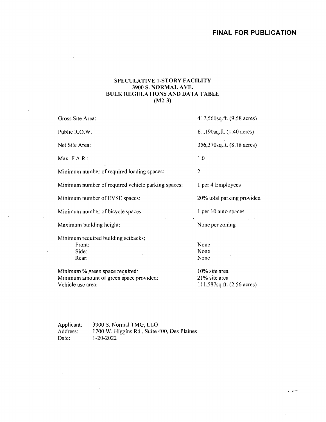# **SPECULATIVE 1-STORY FACILITY 3900 S. NORMAL AVE. BULK REGULATIONS AND DATA TABLE (M2-3)**

 $\bar{\mathbf{v}}$ 

| Gross Site Area:                                                           | 417,560sq.ft. (9.58 acres)     |
|----------------------------------------------------------------------------|--------------------------------|
| Public R.O.W.                                                              | 61,190sq.ft. (1.40 acres)      |
| Net Site Area:                                                             | 356,370sq.ft. (8.18 acres)     |
| Max. F.A.R.:                                                               | 1.0                            |
| Minimum number of required loading spaces:                                 | $\overline{2}$                 |
| Minimum number of required vehicle parking spaces:                         | 1 per 4 Employees              |
| Minimum number of EVSE spaces:                                             | 20% total parking provided     |
| Minimum number of bicycle spaces:                                          | 1 per 10 auto spaces           |
| Maximum building height:                                                   | None per zoning                |
| Minimum required building setbacks;<br>Front:<br>Side:<br>Rear:            | None<br>None<br>None           |
| Minimum % green space required:<br>Minimum amount of green space provided: | 10% site area<br>21% site area |

Vehicle use area:

 $\sim$ 

 $\mathcal{A}$ 

 $\mathbf{r}$ 

J.

 $\ddot{\phantom{a}}$ 

21 % site area lll,587sq.ft. (2.56 acres)

 $\omega$  -  $\omega^{\rm max}$ 

 $\bar{.}$ 

Applicant: 3900 S. Normal TMG, LLG<br>Address: 1700 W. Higgins Rd., Suite Address: 1700 W. Higgins Rd., Suite 400, Des Plaines<br>Date: 1-20-2022 1-20-2022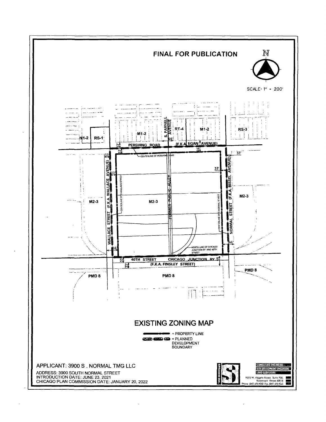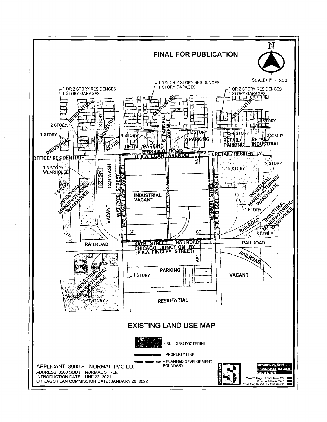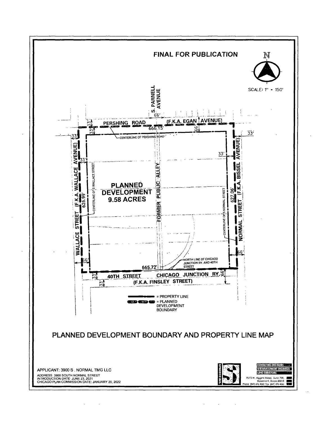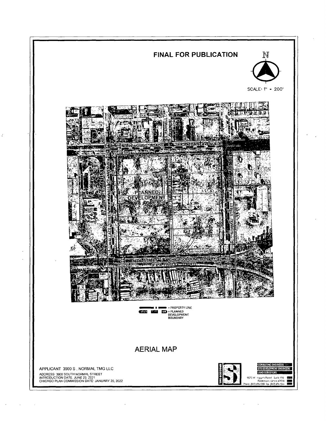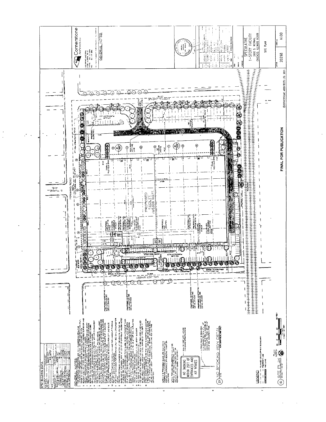

i.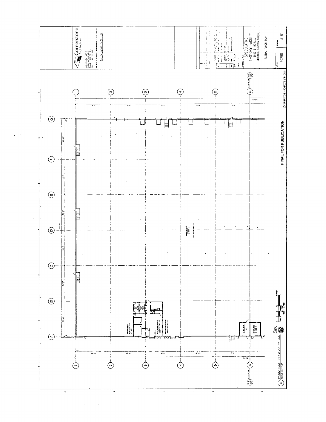

 $\ddot{\phantom{0}}$ 

 $\bar{z}$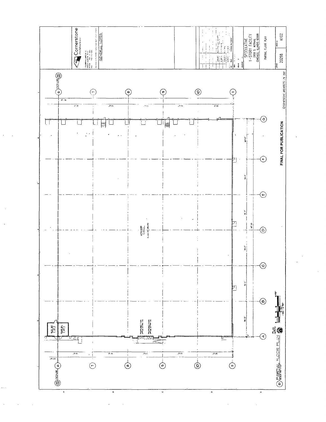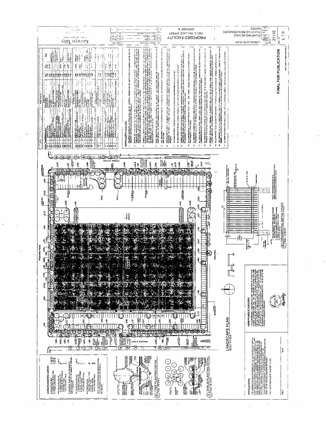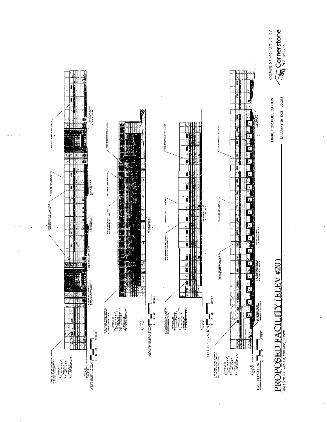